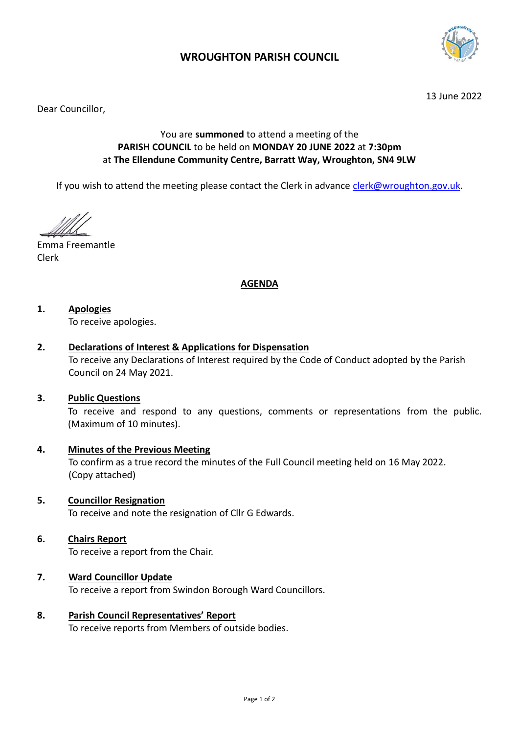

# **WROUGHTON PARISH COUNCIL**

13 June 2022

Dear Councillor,

## You are **summoned** to attend a meeting of the **PARISH COUNCIL** to be held on **MONDAY 20 JUNE 2022** at **7:30pm** at **The Ellendune Community Centre, Barratt Way, Wroughton, SN4 9LW**

If you wish to attend the meeting please contact the Clerk in advance [clerk@wroughton.gov.uk.](mailto:clerk@wroughton.gov.uk)

Emma Freemantle Clerk

## **AGENDA**

## **1. Apologies**

To receive apologies.

### **2. Declarations of Interest & Applications for Dispensation**

To receive any Declarations of Interest required by the Code of Conduct adopted by the Parish Council on 24 May 2021.

#### **3. Public Questions**

To receive and respond to any questions, comments or representations from the public. (Maximum of 10 minutes).

## **4. Minutes of the Previous Meeting**

To confirm as a true record the minutes of the Full Council meeting held on 16 May 2022. (Copy attached)

**5. Councillor Resignation** 

To receive and note the resignation of Cllr G Edwards.

### **6. Chairs Report**

To receive a report from the Chair.

### **7. Ward Councillor Update**

To receive a report from Swindon Borough Ward Councillors.

# **8. Parish Council Representatives' Report**

To receive reports from Members of outside bodies.